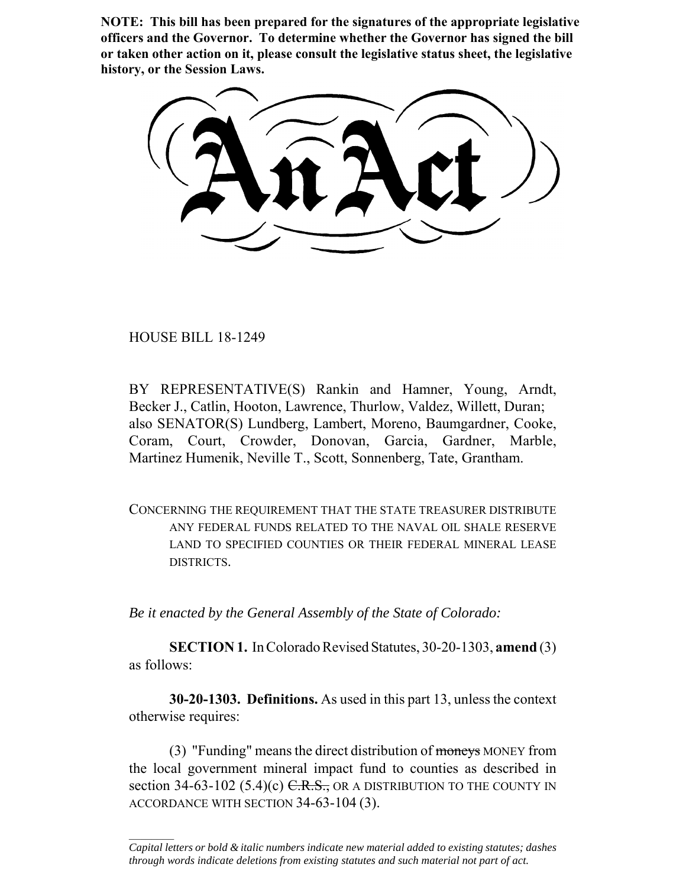**NOTE: This bill has been prepared for the signatures of the appropriate legislative officers and the Governor. To determine whether the Governor has signed the bill or taken other action on it, please consult the legislative status sheet, the legislative history, or the Session Laws.**

HOUSE BILL 18-1249

 $\frac{1}{2}$ 

BY REPRESENTATIVE(S) Rankin and Hamner, Young, Arndt, Becker J., Catlin, Hooton, Lawrence, Thurlow, Valdez, Willett, Duran; also SENATOR(S) Lundberg, Lambert, Moreno, Baumgardner, Cooke, Coram, Court, Crowder, Donovan, Garcia, Gardner, Marble, Martinez Humenik, Neville T., Scott, Sonnenberg, Tate, Grantham.

CONCERNING THE REQUIREMENT THAT THE STATE TREASURER DISTRIBUTE ANY FEDERAL FUNDS RELATED TO THE NAVAL OIL SHALE RESERVE LAND TO SPECIFIED COUNTIES OR THEIR FEDERAL MINERAL LEASE DISTRICTS.

*Be it enacted by the General Assembly of the State of Colorado:*

**SECTION 1.** In Colorado Revised Statutes, 30-20-1303, **amend** (3) as follows:

**30-20-1303. Definitions.** As used in this part 13, unless the context otherwise requires:

(3) "Funding" means the direct distribution of moneys MONEY from the local government mineral impact fund to counties as described in section 34-63-102 (5.4)(c)  $C.R.S.,$  OR A DISTRIBUTION TO THE COUNTY IN ACCORDANCE WITH SECTION 34-63-104 (3).

*Capital letters or bold & italic numbers indicate new material added to existing statutes; dashes through words indicate deletions from existing statutes and such material not part of act.*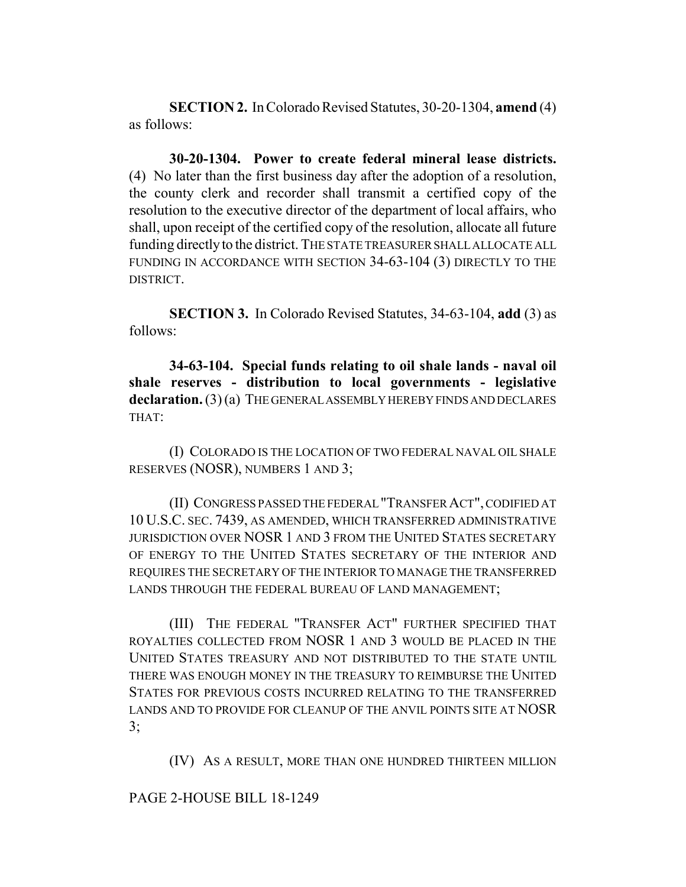**SECTION 2.** In Colorado Revised Statutes, 30-20-1304, **amend** (4) as follows:

**30-20-1304. Power to create federal mineral lease districts.** (4) No later than the first business day after the adoption of a resolution, the county clerk and recorder shall transmit a certified copy of the resolution to the executive director of the department of local affairs, who shall, upon receipt of the certified copy of the resolution, allocate all future funding directly to the district. THE STATE TREASURER SHALL ALLOCATE ALL FUNDING IN ACCORDANCE WITH SECTION 34-63-104 (3) DIRECTLY TO THE DISTRICT.

**SECTION 3.** In Colorado Revised Statutes, 34-63-104, **add** (3) as follows:

**34-63-104. Special funds relating to oil shale lands - naval oil shale reserves - distribution to local governments - legislative** declaration. (3) (a) THE GENERAL ASSEMBLY HEREBY FINDS AND DECLARES THAT:

(I) COLORADO IS THE LOCATION OF TWO FEDERAL NAVAL OIL SHALE RESERVES (NOSR), NUMBERS 1 AND 3;

(II) CONGRESS PASSED THE FEDERAL "TRANSFER ACT", CODIFIED AT 10 U.S.C. SEC. 7439, AS AMENDED, WHICH TRANSFERRED ADMINISTRATIVE JURISDICTION OVER NOSR 1 AND 3 FROM THE UNITED STATES SECRETARY OF ENERGY TO THE UNITED STATES SECRETARY OF THE INTERIOR AND REQUIRES THE SECRETARY OF THE INTERIOR TO MANAGE THE TRANSFERRED LANDS THROUGH THE FEDERAL BUREAU OF LAND MANAGEMENT;

(III) THE FEDERAL "TRANSFER ACT" FURTHER SPECIFIED THAT ROYALTIES COLLECTED FROM NOSR 1 AND 3 WOULD BE PLACED IN THE UNITED STATES TREASURY AND NOT DISTRIBUTED TO THE STATE UNTIL THERE WAS ENOUGH MONEY IN THE TREASURY TO REIMBURSE THE UNITED STATES FOR PREVIOUS COSTS INCURRED RELATING TO THE TRANSFERRED LANDS AND TO PROVIDE FOR CLEANUP OF THE ANVIL POINTS SITE AT NOSR  $3$ ;

(IV) AS A RESULT, MORE THAN ONE HUNDRED THIRTEEN MILLION

## PAGE 2-HOUSE BILL 18-1249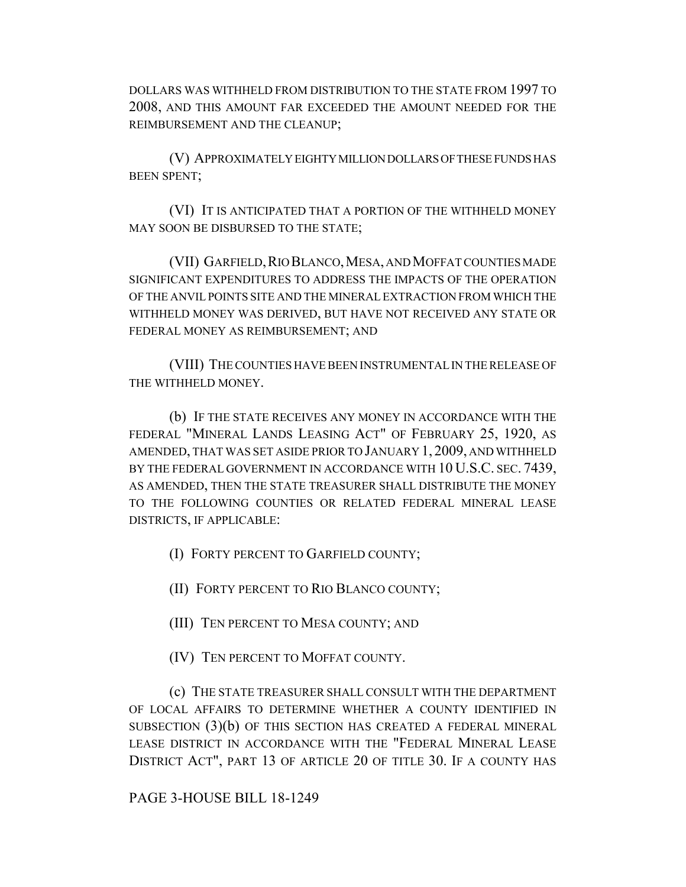DOLLARS WAS WITHHELD FROM DISTRIBUTION TO THE STATE FROM 1997 TO 2008, AND THIS AMOUNT FAR EXCEEDED THE AMOUNT NEEDED FOR THE REIMBURSEMENT AND THE CLEANUP;

(V) APPROXIMATELY EIGHTY MILLION DOLLARS OF THESE FUNDS HAS BEEN SPENT;

(VI) IT IS ANTICIPATED THAT A PORTION OF THE WITHHELD MONEY MAY SOON BE DISBURSED TO THE STATE;

(VII) GARFIELD, RIO BLANCO, MESA, AND MOFFAT COUNTIES MADE SIGNIFICANT EXPENDITURES TO ADDRESS THE IMPACTS OF THE OPERATION OF THE ANVIL POINTS SITE AND THE MINERAL EXTRACTION FROM WHICH THE WITHHELD MONEY WAS DERIVED, BUT HAVE NOT RECEIVED ANY STATE OR FEDERAL MONEY AS REIMBURSEMENT; AND

(VIII) THE COUNTIES HAVE BEEN INSTRUMENTAL IN THE RELEASE OF THE WITHHELD MONEY.

(b) IF THE STATE RECEIVES ANY MONEY IN ACCORDANCE WITH THE FEDERAL "MINERAL LANDS LEASING ACT" OF FEBRUARY 25, 1920, AS AMENDED, THAT WAS SET ASIDE PRIOR TO JANUARY 1, 2009, AND WITHHELD BY THE FEDERAL GOVERNMENT IN ACCORDANCE WITH 10 U.S.C. SEC. 7439, AS AMENDED, THEN THE STATE TREASURER SHALL DISTRIBUTE THE MONEY TO THE FOLLOWING COUNTIES OR RELATED FEDERAL MINERAL LEASE DISTRICTS, IF APPLICABLE:

(I) FORTY PERCENT TO GARFIELD COUNTY;

(II) FORTY PERCENT TO RIO BLANCO COUNTY;

(III) TEN PERCENT TO MESA COUNTY; AND

(IV) TEN PERCENT TO MOFFAT COUNTY.

(c) THE STATE TREASURER SHALL CONSULT WITH THE DEPARTMENT OF LOCAL AFFAIRS TO DETERMINE WHETHER A COUNTY IDENTIFIED IN SUBSECTION (3)(b) OF THIS SECTION HAS CREATED A FEDERAL MINERAL LEASE DISTRICT IN ACCORDANCE WITH THE "FEDERAL MINERAL LEASE DISTRICT ACT", PART 13 OF ARTICLE 20 OF TITLE 30. IF A COUNTY HAS

PAGE 3-HOUSE BILL 18-1249